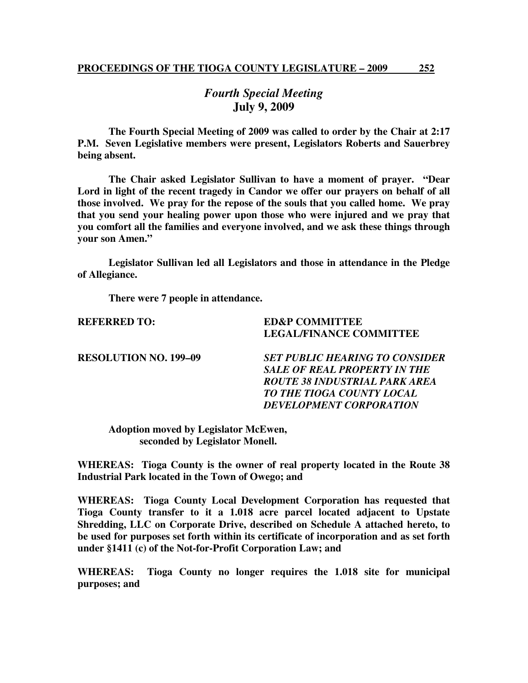## *Fourth Special Meeting*  **July 9, 2009**

 **The Fourth Special Meeting of 2009 was called to order by the Chair at 2:17 P.M. Seven Legislative members were present, Legislators Roberts and Sauerbrey being absent.** 

**The Chair asked Legislator Sullivan to have a moment of prayer. "Dear Lord in light of the recent tragedy in Candor we offer our prayers on behalf of all those involved. We pray for the repose of the souls that you called home. We pray that you send your healing power upon those who were injured and we pray that you comfort all the families and everyone involved, and we ask these things through your son Amen."** 

 **Legislator Sullivan led all Legislators and those in attendance in the Pledge of Allegiance.** 

 **There were 7 people in attendance.** 

**REFERRED TO: ED&P COMMITTEE** 

**LEGAL/FINANCE COMMITTEE RESOLUTION NO. 199–09** *SET PUBLIC HEARING TO CONSIDER* 

*SALE OF REAL PROPERTY IN THE ROUTE 38 INDUSTRIAL PARK AREA TO THE TIOGA COUNTY LOCAL DEVELOPMENT CORPORATION* 

 **Adoption moved by Legislator McEwen, seconded by Legislator Monell.** 

**WHEREAS: Tioga County is the owner of real property located in the Route 38 Industrial Park located in the Town of Owego; and** 

**WHEREAS: Tioga County Local Development Corporation has requested that Tioga County transfer to it a 1.018 acre parcel located adjacent to Upstate Shredding, LLC on Corporate Drive, described on Schedule A attached hereto, to be used for purposes set forth within its certificate of incorporation and as set forth under §1411 (c) of the Not-for-Profit Corporation Law; and** 

**WHEREAS: Tioga County no longer requires the 1.018 site for municipal purposes; and**